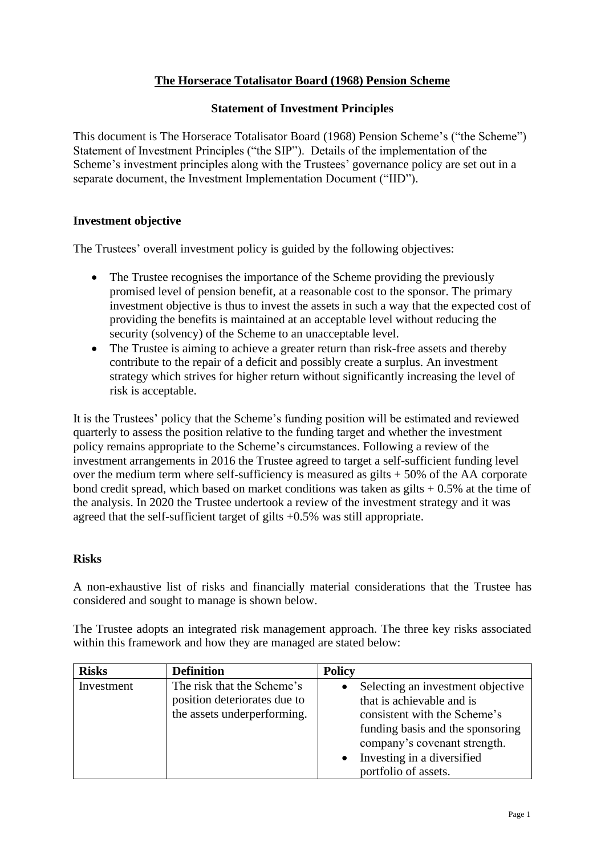# **The Horserace Totalisator Board (1968) Pension Scheme**

## **Statement of Investment Principles**

This document is The Horserace Totalisator Board (1968) Pension Scheme's ("the Scheme") Statement of Investment Principles ("the SIP"). Details of the implementation of the Scheme's investment principles along with the Trustees' governance policy are set out in a separate document, the Investment Implementation Document ("IID").

## **Investment objective**

The Trustees' overall investment policy is guided by the following objectives:

- The Trustee recognises the importance of the Scheme providing the previously promised level of pension benefit, at a reasonable cost to the sponsor. The primary investment objective is thus to invest the assets in such a way that the expected cost of providing the benefits is maintained at an acceptable level without reducing the security (solvency) of the Scheme to an unacceptable level.
- The Trustee is aiming to achieve a greater return than risk-free assets and thereby contribute to the repair of a deficit and possibly create a surplus. An investment strategy which strives for higher return without significantly increasing the level of risk is acceptable.

It is the Trustees' policy that the Scheme's funding position will be estimated and reviewed quarterly to assess the position relative to the funding target and whether the investment policy remains appropriate to the Scheme's circumstances. Following a review of the investment arrangements in 2016 the Trustee agreed to target a self-sufficient funding level over the medium term where self-sufficiency is measured as gilts + 50% of the AA corporate bond credit spread, which based on market conditions was taken as gilts  $+0.5\%$  at the time of the analysis. In 2020 the Trustee undertook a review of the investment strategy and it was agreed that the self-sufficient target of gilts +0.5% was still appropriate.

### **Risks**

A non-exhaustive list of risks and financially material considerations that the Trustee has considered and sought to manage is shown below.

The Trustee adopts an integrated risk management approach. The three key risks associated within this framework and how they are managed are stated below:

| <b>Risks</b> | <b>Definition</b>                                                                         | <b>Policy</b>                                                                                                                                                                                    |
|--------------|-------------------------------------------------------------------------------------------|--------------------------------------------------------------------------------------------------------------------------------------------------------------------------------------------------|
| Investment   | The risk that the Scheme's<br>position deteriorates due to<br>the assets underperforming. | Selecting an investment objective<br>that is achievable and is<br>consistent with the Scheme's<br>funding basis and the sponsoring<br>company's covenant strength.<br>Investing in a diversified |
|              |                                                                                           | portfolio of assets.                                                                                                                                                                             |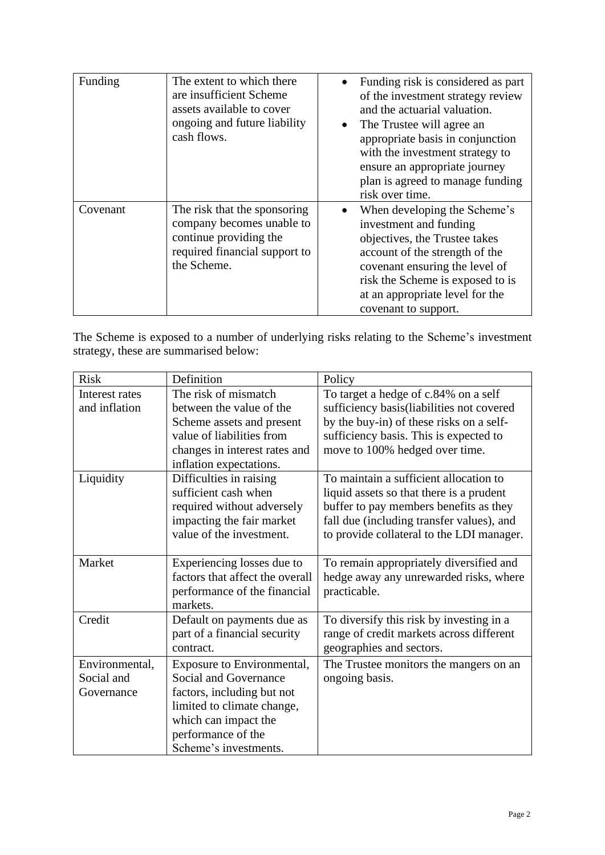| Funding  | The extent to which there<br>are insufficient Scheme<br>assets available to cover<br>ongoing and future liability<br>cash flows.    | $\bullet$ | Funding risk is considered as part<br>of the investment strategy review<br>and the actuarial valuation.<br>The Trustee will agree an<br>appropriate basis in conjunction<br>with the investment strategy to<br>ensure an appropriate journey<br>plan is agreed to manage funding<br>risk over time. |
|----------|-------------------------------------------------------------------------------------------------------------------------------------|-----------|-----------------------------------------------------------------------------------------------------------------------------------------------------------------------------------------------------------------------------------------------------------------------------------------------------|
| Covenant | The risk that the sponsoring<br>company becomes unable to<br>continue providing the<br>required financial support to<br>the Scheme. |           | When developing the Scheme's<br>investment and funding<br>objectives, the Trustee takes<br>account of the strength of the<br>covenant ensuring the level of<br>risk the Scheme is exposed to is<br>at an appropriate level for the<br>covenant to support.                                          |

The Scheme is exposed to a number of underlying risks relating to the Scheme's investment strategy, these are summarised below:

| <b>Risk</b>    | Definition                      | Policy                                     |
|----------------|---------------------------------|--------------------------------------------|
| Interest rates | The risk of mismatch            | To target a hedge of c.84% on a self       |
| and inflation  | between the value of the        | sufficiency basis (liabilities not covered |
|                | Scheme assets and present       | by the buy-in) of these risks on a self-   |
|                | value of liabilities from       | sufficiency basis. This is expected to     |
|                | changes in interest rates and   | move to 100% hedged over time.             |
|                | inflation expectations.         |                                            |
| Liquidity      | Difficulties in raising         | To maintain a sufficient allocation to     |
|                | sufficient cash when            | liquid assets so that there is a prudent   |
|                | required without adversely      | buffer to pay members benefits as they     |
|                | impacting the fair market       | fall due (including transfer values), and  |
|                | value of the investment.        | to provide collateral to the LDI manager.  |
|                |                                 |                                            |
| Market         | Experiencing losses due to      | To remain appropriately diversified and    |
|                | factors that affect the overall | hedge away any unrewarded risks, where     |
|                | performance of the financial    | practicable.                               |
|                | markets.                        |                                            |
| Credit         | Default on payments due as      | To diversify this risk by investing in a   |
|                | part of a financial security    | range of credit markets across different   |
|                | contract.                       | geographies and sectors.                   |
| Environmental, | Exposure to Environmental,      | The Trustee monitors the mangers on an     |
| Social and     | Social and Governance           | ongoing basis.                             |
| Governance     | factors, including but not      |                                            |
|                | limited to climate change,      |                                            |
|                | which can impact the            |                                            |
|                | performance of the              |                                            |
|                | Scheme's investments.           |                                            |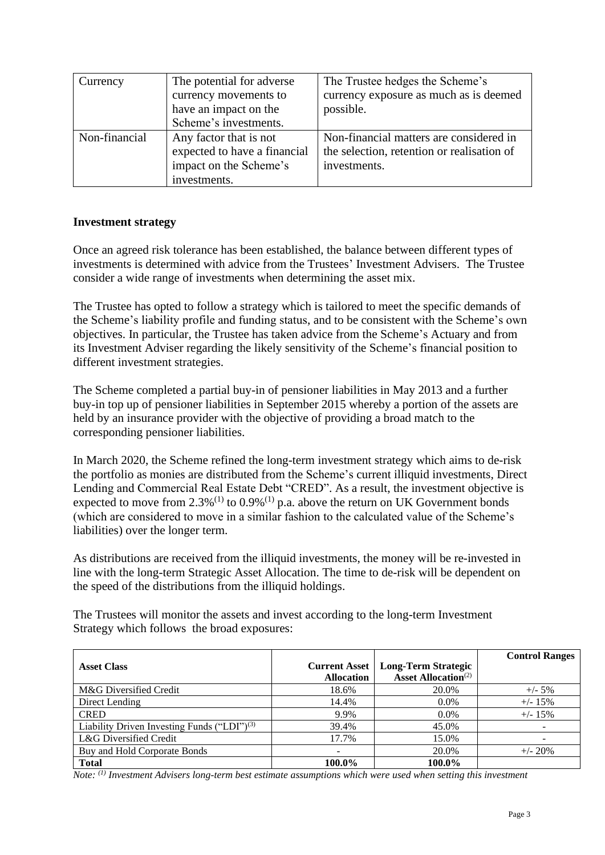| Currency      | The potential for adverse    | The Trustee hedges the Scheme's            |
|---------------|------------------------------|--------------------------------------------|
|               | currency movements to        | currency exposure as much as is deemed     |
|               | have an impact on the        | possible.                                  |
|               | Scheme's investments.        |                                            |
| Non-financial | Any factor that is not       | Non-financial matters are considered in    |
|               | expected to have a financial | the selection, retention or realisation of |
|               | impact on the Scheme's       | investments.                               |
|               | investments.                 |                                            |

## **Investment strategy**

Once an agreed risk tolerance has been established, the balance between different types of investments is determined with advice from the Trustees' Investment Advisers. The Trustee consider a wide range of investments when determining the asset mix.

The Trustee has opted to follow a strategy which is tailored to meet the specific demands of the Scheme's liability profile and funding status, and to be consistent with the Scheme's own objectives. In particular, the Trustee has taken advice from the Scheme's Actuary and from its Investment Adviser regarding the likely sensitivity of the Scheme's financial position to different investment strategies.

The Scheme completed a partial buy-in of pensioner liabilities in May 2013 and a further buy-in top up of pensioner liabilities in September 2015 whereby a portion of the assets are held by an insurance provider with the objective of providing a broad match to the corresponding pensioner liabilities.

In March 2020, the Scheme refined the long-term investment strategy which aims to de-risk the portfolio as monies are distributed from the Scheme's current illiquid investments, Direct Lending and Commercial Real Estate Debt "CRED". As a result, the investment objective is expected to move from  $2.3\%^{(1)}$  to  $0.9\%^{(1)}$  p.a. above the return on UK Government bonds (which are considered to move in a similar fashion to the calculated value of the Scheme's liabilities) over the longer term.

As distributions are received from the illiquid investments, the money will be re-invested in line with the long-term Strategic Asset Allocation. The time to de-risk will be dependent on the speed of the distributions from the illiquid holdings.

The Trustees will monitor the assets and invest according to the long-term Investment Strategy which follows the broad exposures:

|                                                   |                      |                                        | <b>Control Ranges</b>    |
|---------------------------------------------------|----------------------|----------------------------------------|--------------------------|
| <b>Asset Class</b>                                | <b>Current Asset</b> | <b>Long-Term Strategic</b>             |                          |
|                                                   | <b>Allocation</b>    | <b>Asset Allocation</b> <sup>(2)</sup> |                          |
| M&G Diversified Credit                            | 18.6%                | 20.0%                                  | $+/- 5\%$                |
| Direct Lending                                    | 14.4%                | $0.0\%$                                | $+/- 15\%$               |
| <b>CRED</b>                                       | 9.9%                 | $0.0\%$                                | $+/- 15\%$               |
| Liability Driven Investing Funds ("LDI") $^{(3)}$ | 39.4%                | 45.0%                                  |                          |
| L&G Diversified Credit                            | 17.7%                | 15.0%                                  | $\overline{\phantom{a}}$ |
| Buy and Hold Corporate Bonds                      |                      | 20.0%                                  | $+/- 20%$                |
| <b>Total</b>                                      | 100.0%               | 100.0%                                 |                          |

*Note: (1) Investment Advisers long-term best estimate assumptions which were used when setting this investment*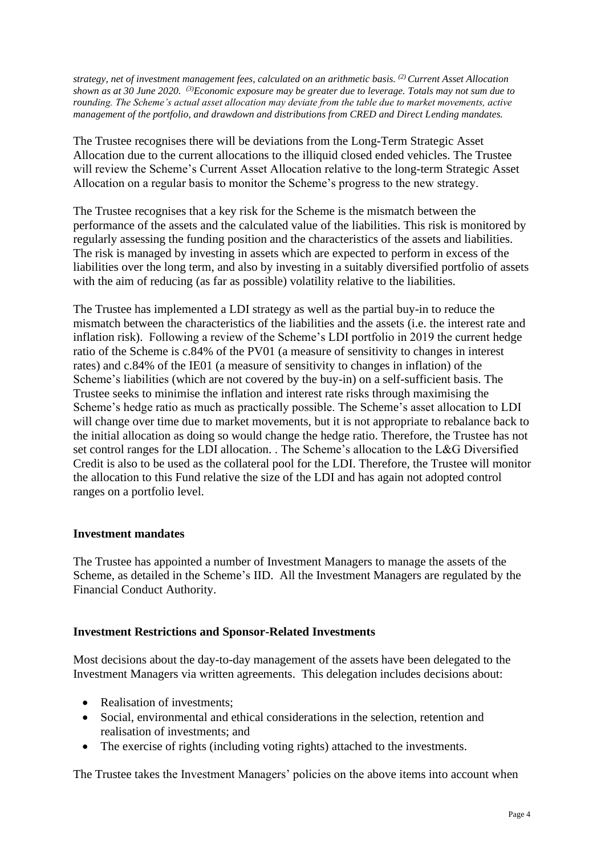*strategy, net of investment management fees, calculated on an arithmetic basis. (2) Current Asset Allocation shown as at 30 June 2020. (3)Economic exposure may be greater due to leverage. Totals may not sum due to rounding. The Scheme's actual asset allocation may deviate from the table due to market movements, active management of the portfolio, and drawdown and distributions from CRED and Direct Lending mandates.*

The Trustee recognises there will be deviations from the Long-Term Strategic Asset Allocation due to the current allocations to the illiquid closed ended vehicles. The Trustee will review the Scheme's Current Asset Allocation relative to the long-term Strategic Asset Allocation on a regular basis to monitor the Scheme's progress to the new strategy.

The Trustee recognises that a key risk for the Scheme is the mismatch between the performance of the assets and the calculated value of the liabilities. This risk is monitored by regularly assessing the funding position and the characteristics of the assets and liabilities. The risk is managed by investing in assets which are expected to perform in excess of the liabilities over the long term, and also by investing in a suitably diversified portfolio of assets with the aim of reducing (as far as possible) volatility relative to the liabilities.

The Trustee has implemented a LDI strategy as well as the partial buy-in to reduce the mismatch between the characteristics of the liabilities and the assets (i.e. the interest rate and inflation risk). Following a review of the Scheme's LDI portfolio in 2019 the current hedge ratio of the Scheme is c.84% of the PV01 (a measure of sensitivity to changes in interest rates) and c.84% of the IE01 (a measure of sensitivity to changes in inflation) of the Scheme's liabilities (which are not covered by the buy-in) on a self-sufficient basis. The Trustee seeks to minimise the inflation and interest rate risks through maximising the Scheme's hedge ratio as much as practically possible. The Scheme's asset allocation to LDI will change over time due to market movements, but it is not appropriate to rebalance back to the initial allocation as doing so would change the hedge ratio. Therefore, the Trustee has not set control ranges for the LDI allocation. . The Scheme's allocation to the L&G Diversified Credit is also to be used as the collateral pool for the LDI. Therefore, the Trustee will monitor the allocation to this Fund relative the size of the LDI and has again not adopted control ranges on a portfolio level.

### **Investment mandates**

The Trustee has appointed a number of Investment Managers to manage the assets of the Scheme, as detailed in the Scheme's IID. All the Investment Managers are regulated by the Financial Conduct Authority.

### **Investment Restrictions and Sponsor-Related Investments**

Most decisions about the day-to-day management of the assets have been delegated to the Investment Managers via written agreements. This delegation includes decisions about:

- Realisation of investments;
- Social, environmental and ethical considerations in the selection, retention and realisation of investments; and
- The exercise of rights (including voting rights) attached to the investments.

The Trustee takes the Investment Managers' policies on the above items into account when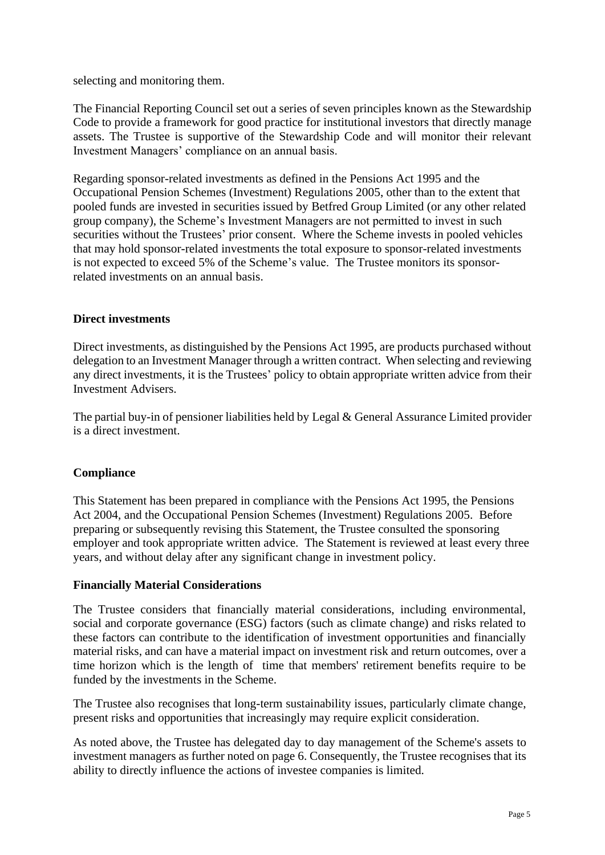selecting and monitoring them.

The Financial Reporting Council set out a series of seven principles known as the Stewardship Code to provide a framework for good practice for institutional investors that directly manage assets. The Trustee is supportive of the Stewardship Code and will monitor their relevant Investment Managers' compliance on an annual basis.

Regarding sponsor-related investments as defined in the Pensions Act 1995 and the Occupational Pension Schemes (Investment) Regulations 2005, other than to the extent that pooled funds are invested in securities issued by Betfred Group Limited (or any other related group company), the Scheme's Investment Managers are not permitted to invest in such securities without the Trustees' prior consent. Where the Scheme invests in pooled vehicles that may hold sponsor-related investments the total exposure to sponsor-related investments is not expected to exceed 5% of the Scheme's value. The Trustee monitors its sponsorrelated investments on an annual basis.

## **Direct investments**

Direct investments, as distinguished by the Pensions Act 1995, are products purchased without delegation to an Investment Manager through a written contract. When selecting and reviewing any direct investments, it is the Trustees' policy to obtain appropriate written advice from their Investment Advisers.

The partial buy-in of pensioner liabilities held by Legal & General Assurance Limited provider is a direct investment.

### **Compliance**

This Statement has been prepared in compliance with the Pensions Act 1995, the Pensions Act 2004, and the Occupational Pension Schemes (Investment) Regulations 2005. Before preparing or subsequently revising this Statement, the Trustee consulted the sponsoring employer and took appropriate written advice. The Statement is reviewed at least every three years, and without delay after any significant change in investment policy.

### **Financially Material Considerations**

The Trustee considers that financially material considerations, including environmental, social and corporate governance (ESG) factors (such as climate change) and risks related to these factors can contribute to the identification of investment opportunities and financially material risks, and can have a material impact on investment risk and return outcomes, over a time horizon which is the length of time that members' retirement benefits require to be funded by the investments in the Scheme.

The Trustee also recognises that long-term sustainability issues, particularly climate change, present risks and opportunities that increasingly may require explicit consideration.

As noted above, the Trustee has delegated day to day management of the Scheme's assets to investment managers as further noted on page 6. Consequently, the Trustee recognises that its ability to directly influence the actions of investee companies is limited.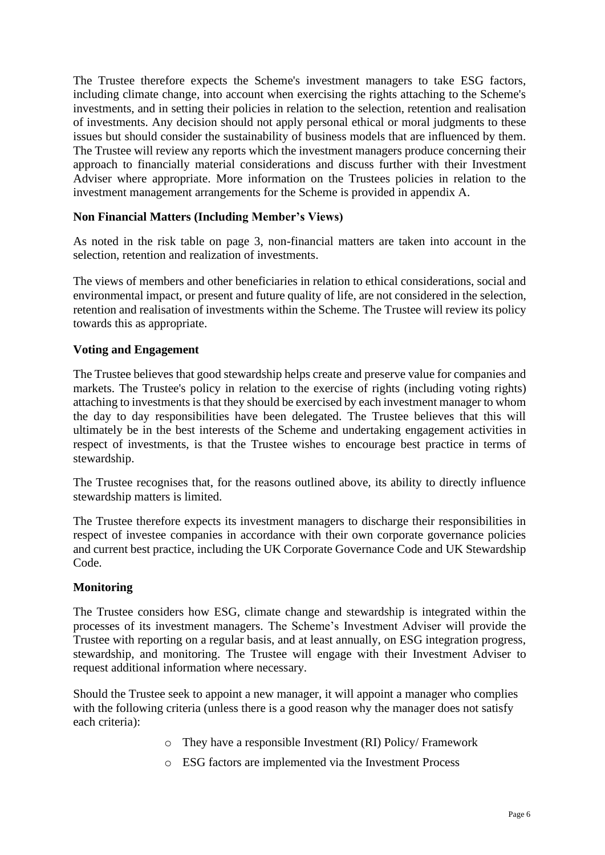The Trustee therefore expects the Scheme's investment managers to take ESG factors, including climate change, into account when exercising the rights attaching to the Scheme's investments, and in setting their policies in relation to the selection, retention and realisation of investments. Any decision should not apply personal ethical or moral judgments to these issues but should consider the sustainability of business models that are influenced by them. The Trustee will review any reports which the investment managers produce concerning their approach to financially material considerations and discuss further with their Investment Adviser where appropriate. More information on the Trustees policies in relation to the investment management arrangements for the Scheme is provided in appendix A.

## **Non Financial Matters (Including Member's Views)**

As noted in the risk table on page 3, non-financial matters are taken into account in the selection, retention and realization of investments.

The views of members and other beneficiaries in relation to ethical considerations, social and environmental impact, or present and future quality of life, are not considered in the selection, retention and realisation of investments within the Scheme. The Trustee will review its policy towards this as appropriate.

## **Voting and Engagement**

The Trustee believes that good stewardship helps create and preserve value for companies and markets. The Trustee's policy in relation to the exercise of rights (including voting rights) attaching to investments is that they should be exercised by each investment manager to whom the day to day responsibilities have been delegated. The Trustee believes that this will ultimately be in the best interests of the Scheme and undertaking engagement activities in respect of investments, is that the Trustee wishes to encourage best practice in terms of stewardship.

The Trustee recognises that, for the reasons outlined above, its ability to directly influence stewardship matters is limited.

The Trustee therefore expects its investment managers to discharge their responsibilities in respect of investee companies in accordance with their own corporate governance policies and current best practice, including the UK Corporate Governance Code and UK Stewardship Code.

### **Monitoring**

The Trustee considers how ESG, climate change and stewardship is integrated within the processes of its investment managers. The Scheme's Investment Adviser will provide the Trustee with reporting on a regular basis, and at least annually, on ESG integration progress, stewardship, and monitoring. The Trustee will engage with their Investment Adviser to request additional information where necessary.

Should the Trustee seek to appoint a new manager, it will appoint a manager who complies with the following criteria (unless there is a good reason why the manager does not satisfy each criteria):

- o They have a responsible Investment (RI) Policy/ Framework
- o ESG factors are implemented via the Investment Process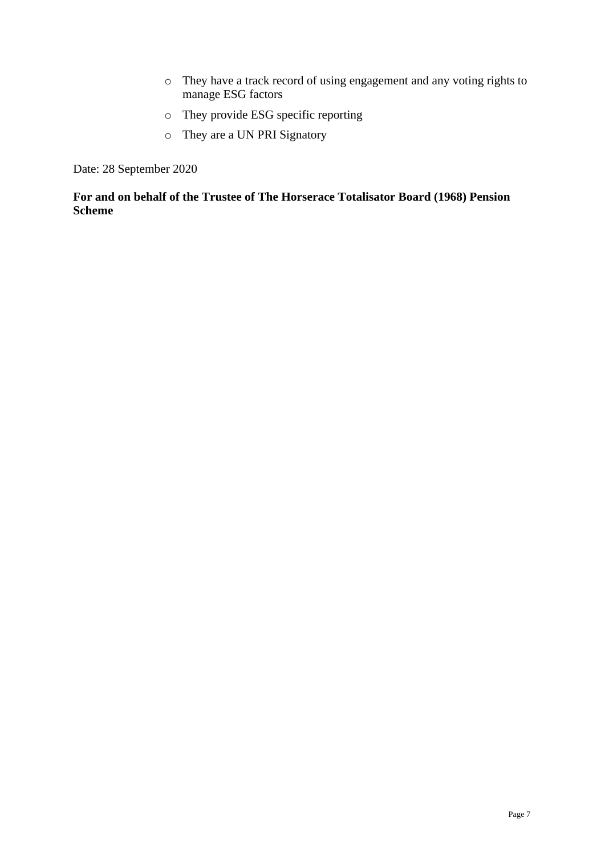- o They have a track record of using engagement and any voting rights to manage ESG factors
- o They provide ESG specific reporting
- o They are a UN PRI Signatory

Date: 28 September 2020

**For and on behalf of the Trustee of The Horserace Totalisator Board (1968) Pension Scheme**